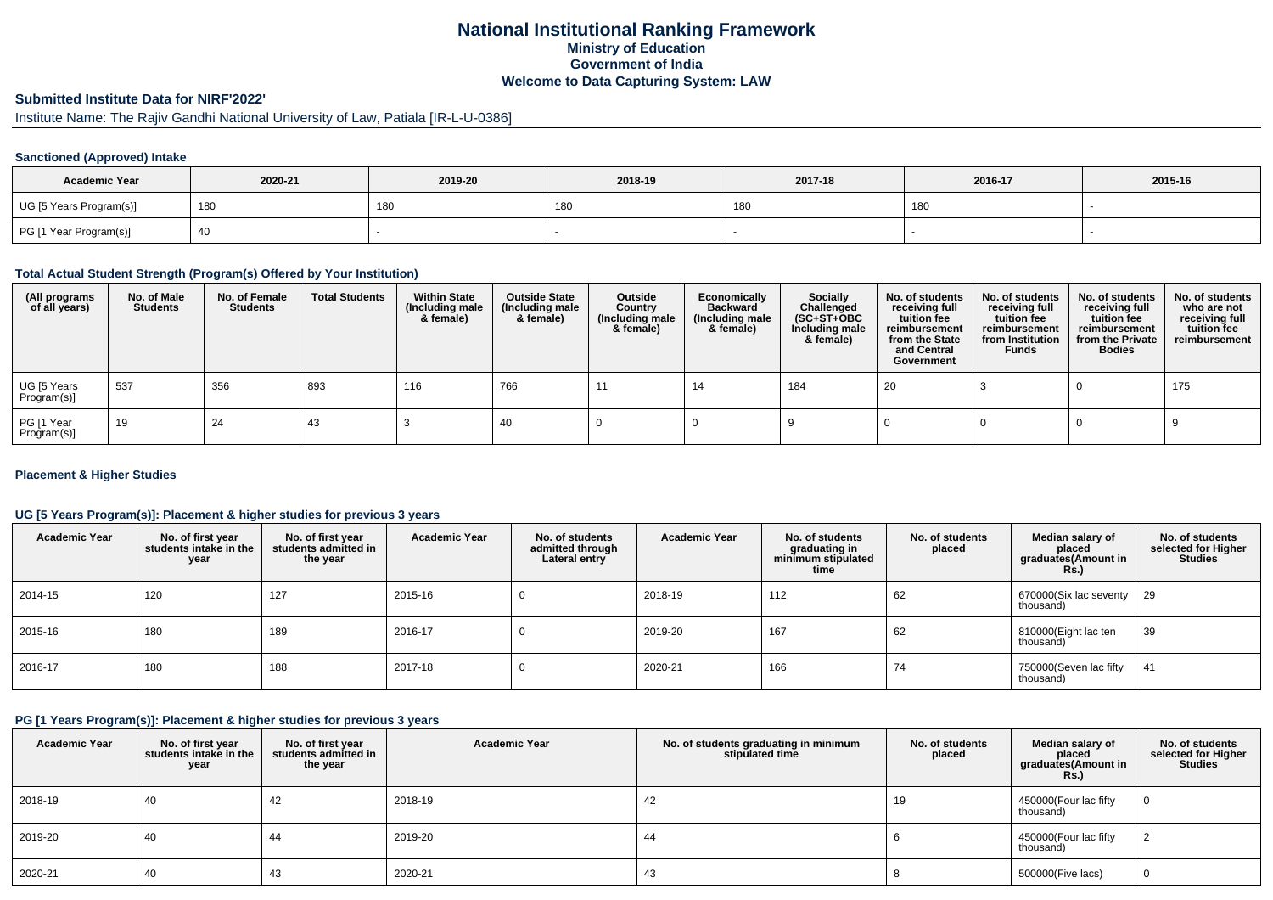## **National Institutional Ranking FrameworkMinistry of Education Government of IndiaWelcome to Data Capturing System: LAW**

# **Submitted Institute Data for NIRF'2022'**

# Institute Name: The Rajiv Gandhi National University of Law, Patiala [IR-L-U-0386]

### **Sanctioned (Approved) Intake**

| <b>Academic Year</b>    | 2020-21 | 2019-20    | 2018-19         | 2017-18 | 2016-17 | 2015-16 |
|-------------------------|---------|------------|-----------------|---------|---------|---------|
| UG [5 Years Program(s)] | 180     | <b>180</b> | 18 <sub>L</sub> | 180     | 180     |         |
| PG [1 Year Program(s)]  |         |            |                 |         |         |         |

#### **Total Actual Student Strength (Program(s) Offered by Your Institution)**

| (All programs<br>of all years) | No. of Male<br><b>Students</b> | No. of Female<br><b>Students</b> | <b>Total Students</b> | <b>Within State</b><br>(Including male<br>& female) | <b>Outside State</b><br>(Including male<br>& female) | Outside<br>Country<br>(Including male<br>& female) | Economically<br><b>Backward</b><br>(Including male<br>& female) | <b>Socially</b><br>Challenged<br>$(SC+ST+OBC)$<br>Including male<br>& female) | No. of students<br>receiving full<br>tuition fee<br>reimbursement<br>from the State<br>and Central<br>Government | No. of students<br>receiving full<br>tuition fee<br>reimbursement<br>from Institution<br><b>Funds</b> | No. of students<br>receiving full<br>tuition fee<br>reimbursement<br>from the Private<br><b>Bodies</b> | No. of students<br>who are not<br>receiving full<br>tuition fee<br>reimbursement |
|--------------------------------|--------------------------------|----------------------------------|-----------------------|-----------------------------------------------------|------------------------------------------------------|----------------------------------------------------|-----------------------------------------------------------------|-------------------------------------------------------------------------------|------------------------------------------------------------------------------------------------------------------|-------------------------------------------------------------------------------------------------------|--------------------------------------------------------------------------------------------------------|----------------------------------------------------------------------------------|
| UG [5 Years<br>Program(s)]     | 537                            | 356                              | 893                   | 116                                                 | 766                                                  | -11                                                | 14                                                              | 184                                                                           | 20                                                                                                               |                                                                                                       |                                                                                                        | 175                                                                              |
| PG [1 Year<br>Program(s)]      | 19                             | 24                               | 43                    |                                                     | 40                                                   |                                                    |                                                                 |                                                                               |                                                                                                                  |                                                                                                       |                                                                                                        |                                                                                  |

### **Placement & Higher Studies**

### **UG [5 Years Program(s)]: Placement & higher studies for previous 3 years**

| <b>Academic Year</b> | No. of first year<br>students intake in the<br>year | No. of first year<br>students admitted in<br>the year | <b>Academic Year</b> | No. of students<br>admitted through<br>Lateral entry | <b>Academic Year</b> | No. of students<br>graduating in<br>minimum stipulated<br>time | No. of students<br>placed | Median salary of<br>placed<br>graduates(Amount in<br>Rs.) | No. of students<br>selected for Higher<br><b>Studies</b> |
|----------------------|-----------------------------------------------------|-------------------------------------------------------|----------------------|------------------------------------------------------|----------------------|----------------------------------------------------------------|---------------------------|-----------------------------------------------------------|----------------------------------------------------------|
| 2014-15              | 120                                                 | 127                                                   | 2015-16              |                                                      | 2018-19              | 112                                                            | 62                        | 670000(Six lac seventy<br>thousand)                       | -29                                                      |
| 2015-16              | 180                                                 | 189                                                   | 2016-17              |                                                      | 2019-20              | 167                                                            | 62                        | 810000(Eight lac ten<br>thousand)                         | 39                                                       |
| 2016-17              | 180                                                 | 188                                                   | 2017-18              |                                                      | 2020-21              | 166                                                            | 74                        | 750000(Seven lac fifty<br>thousand)                       | 41                                                       |

#### **PG [1 Years Program(s)]: Placement & higher studies for previous 3 years**

| <b>Academic Year</b> | No. of first year<br>students intake in the<br>year | No. of first year<br>students admitted in<br>the year | <b>Academic Year</b> | No. of students graduating in minimum<br>stipulated time | No. of students<br>placed | Median salary of<br>placed<br>graduates(Amount in<br><b>Rs.</b> ) | No. of students<br>selected for Higher<br><b>Studies</b> |
|----------------------|-----------------------------------------------------|-------------------------------------------------------|----------------------|----------------------------------------------------------|---------------------------|-------------------------------------------------------------------|----------------------------------------------------------|
| 2018-19              | 40                                                  | 42                                                    | 2018-19              | 42                                                       | 19                        | 450000(Four lac fifty<br>thousand)                                | 0                                                        |
| 2019-20              | 40                                                  | 44                                                    | 2019-20              | 44                                                       |                           | 450000(Four lac fifty<br>thousand)                                |                                                          |
| 2020-21              | 40                                                  | 43                                                    | 2020-21              | 43                                                       |                           | 500000(Five lacs)                                                 | 0                                                        |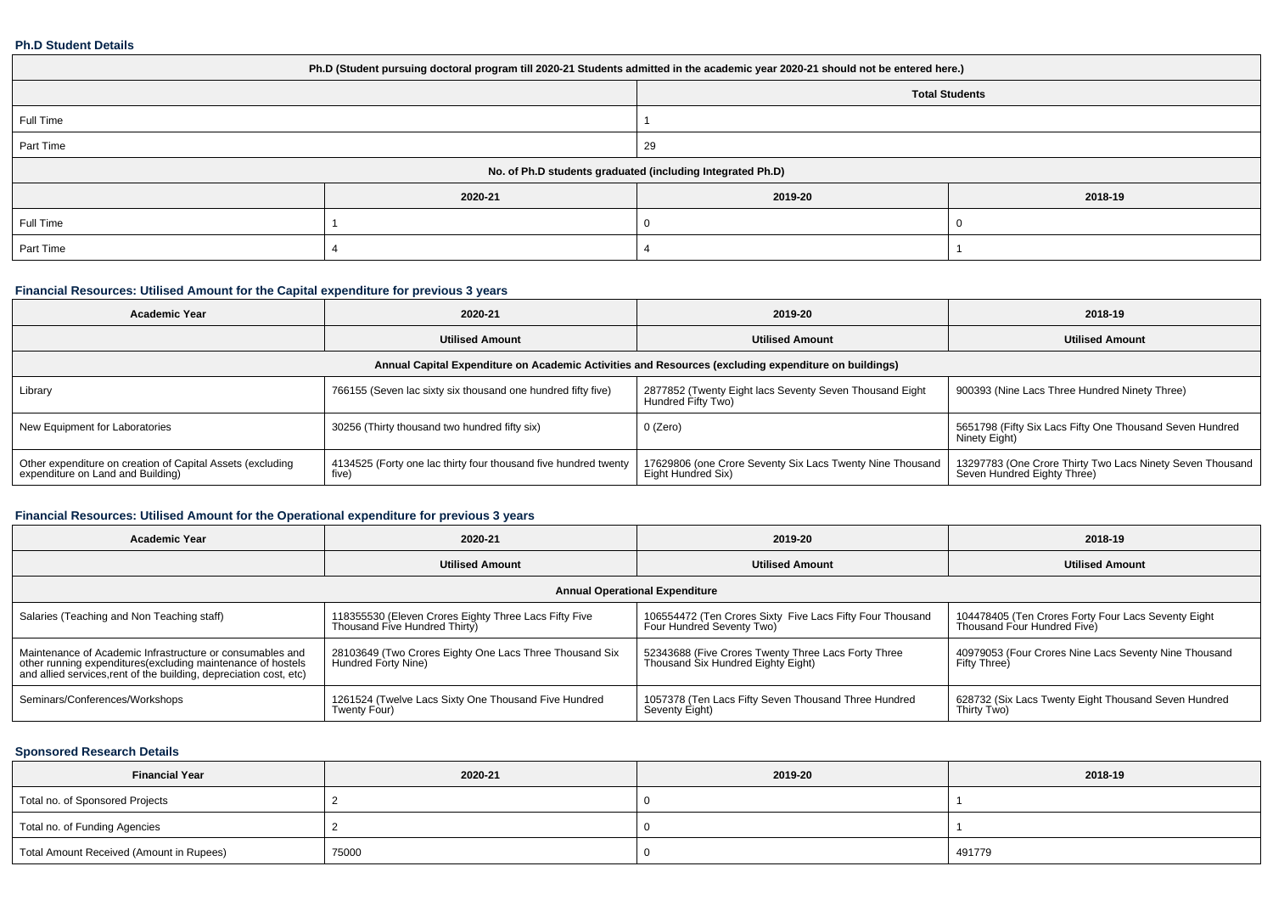#### **Ph.D Student Details**

| Ph.D (Student pursuing doctoral program till 2020-21 Students admitted in the academic year 2020-21 should not be entered here.) |         |                                                            |         |  |  |  |  |
|----------------------------------------------------------------------------------------------------------------------------------|---------|------------------------------------------------------------|---------|--|--|--|--|
| <b>Total Students</b>                                                                                                            |         |                                                            |         |  |  |  |  |
| Full Time                                                                                                                        |         |                                                            |         |  |  |  |  |
| Part Time                                                                                                                        |         | 29                                                         |         |  |  |  |  |
|                                                                                                                                  |         | No. of Ph.D students graduated (including Integrated Ph.D) |         |  |  |  |  |
|                                                                                                                                  | 2020-21 | 2019-20                                                    | 2018-19 |  |  |  |  |
| Full Time                                                                                                                        |         |                                                            |         |  |  |  |  |
| Part Time                                                                                                                        |         |                                                            |         |  |  |  |  |

## **Financial Resources: Utilised Amount for the Capital expenditure for previous 3 years**

| <b>Academic Year</b>                                                                                 | 2020-21                                                                  |                                                                                 | 2018-19                                                                                  |  |  |  |  |
|------------------------------------------------------------------------------------------------------|--------------------------------------------------------------------------|---------------------------------------------------------------------------------|------------------------------------------------------------------------------------------|--|--|--|--|
|                                                                                                      | <b>Utilised Amount</b>                                                   | <b>Utilised Amount</b>                                                          | <b>Utilised Amount</b>                                                                   |  |  |  |  |
| Annual Capital Expenditure on Academic Activities and Resources (excluding expenditure on buildings) |                                                                          |                                                                                 |                                                                                          |  |  |  |  |
| Library                                                                                              | 766155 (Seven lac sixty six thousand one hundred fifty five)             | 2877852 (Twenty Eight lacs Seventy Seven Thousand Eight<br>Hundred Fifty Two)   | 900393 (Nine Lacs Three Hundred Ninety Three)                                            |  |  |  |  |
| New Equipment for Laboratories                                                                       | 30256 (Thirty thousand two hundred fifty six)                            | 0 (Zero)                                                                        | 5651798 (Fifty Six Lacs Fifty One Thousand Seven Hundred<br>Ninety Eight)                |  |  |  |  |
| Other expenditure on creation of Capital Assets (excluding<br>expenditure on Land and Building)      | 4134525 (Forty one lac thirty four thousand five hundred twenty<br>five) | 17629806 (one Crore Seventy Six Lacs Twenty Nine Thousand<br>Eight Hundred Six) | 13297783 (One Crore Thirty Two Lacs Ninety Seven Thousand<br>Seven Hundred Eighty Three) |  |  |  |  |

## **Financial Resources: Utilised Amount for the Operational expenditure for previous 3 years**

| 2020-21<br><b>Academic Year</b>                                                                                                                                                                 |                                                                                        | 2019-20                                                                                   | 2018-19                                                                            |  |  |  |  |  |  |  |
|-------------------------------------------------------------------------------------------------------------------------------------------------------------------------------------------------|----------------------------------------------------------------------------------------|-------------------------------------------------------------------------------------------|------------------------------------------------------------------------------------|--|--|--|--|--|--|--|
|                                                                                                                                                                                                 | <b>Utilised Amount</b>                                                                 |                                                                                           | <b>Utilised Amount</b>                                                             |  |  |  |  |  |  |  |
|                                                                                                                                                                                                 | <b>Annual Operational Expenditure</b>                                                  |                                                                                           |                                                                                    |  |  |  |  |  |  |  |
| Salaries (Teaching and Non Teaching staff)                                                                                                                                                      | 118355530 (Eleven Crores Eighty Three Lacs Fifty Five<br>Thousand Five Hundred Thirty) | 106554472 (Ten Crores Sixty Five Lacs Fifty Four Thousand<br>Four Hundred Seventy Two)    | 104478405 (Ten Crores Forty Four Lacs Seventy Eight<br>Thousand Four Hundred Five) |  |  |  |  |  |  |  |
| Maintenance of Academic Infrastructure or consumables and<br>other running expenditures (excluding maintenance of hostels<br>and allied services, rent of the building, depreciation cost, etc) | 28103649 (Two Crores Eighty One Lacs Three Thousand Six<br>Hundred Forty Nine)         | 52343688 (Five Crores Twenty Three Lacs Forty Three<br>Thousand Six Hundred Eighty Eight) | 40979053 (Four Crores Nine Lacs Seventy Nine Thousand<br>Fifty Three)              |  |  |  |  |  |  |  |
| Seminars/Conferences/Workshops                                                                                                                                                                  | 1261524 (Twelve Lacs Sixty One Thousand Five Hundred<br>Twenty Four)                   | 1057378 (Ten Lacs Fifty Seven Thousand Three Hundred<br>Seventy Eight)                    | 628732 (Six Lacs Twenty Eight Thousand Seven Hundred<br>Thirty Two)                |  |  |  |  |  |  |  |

### **Sponsored Research Details**

| <b>Financial Year</b>                    | 2020-21 | 2019-20 | 2018-19 |
|------------------------------------------|---------|---------|---------|
| Total no. of Sponsored Projects          |         |         |         |
| Total no. of Funding Agencies            |         |         |         |
| Total Amount Received (Amount in Rupees) | 75000   |         | 491779  |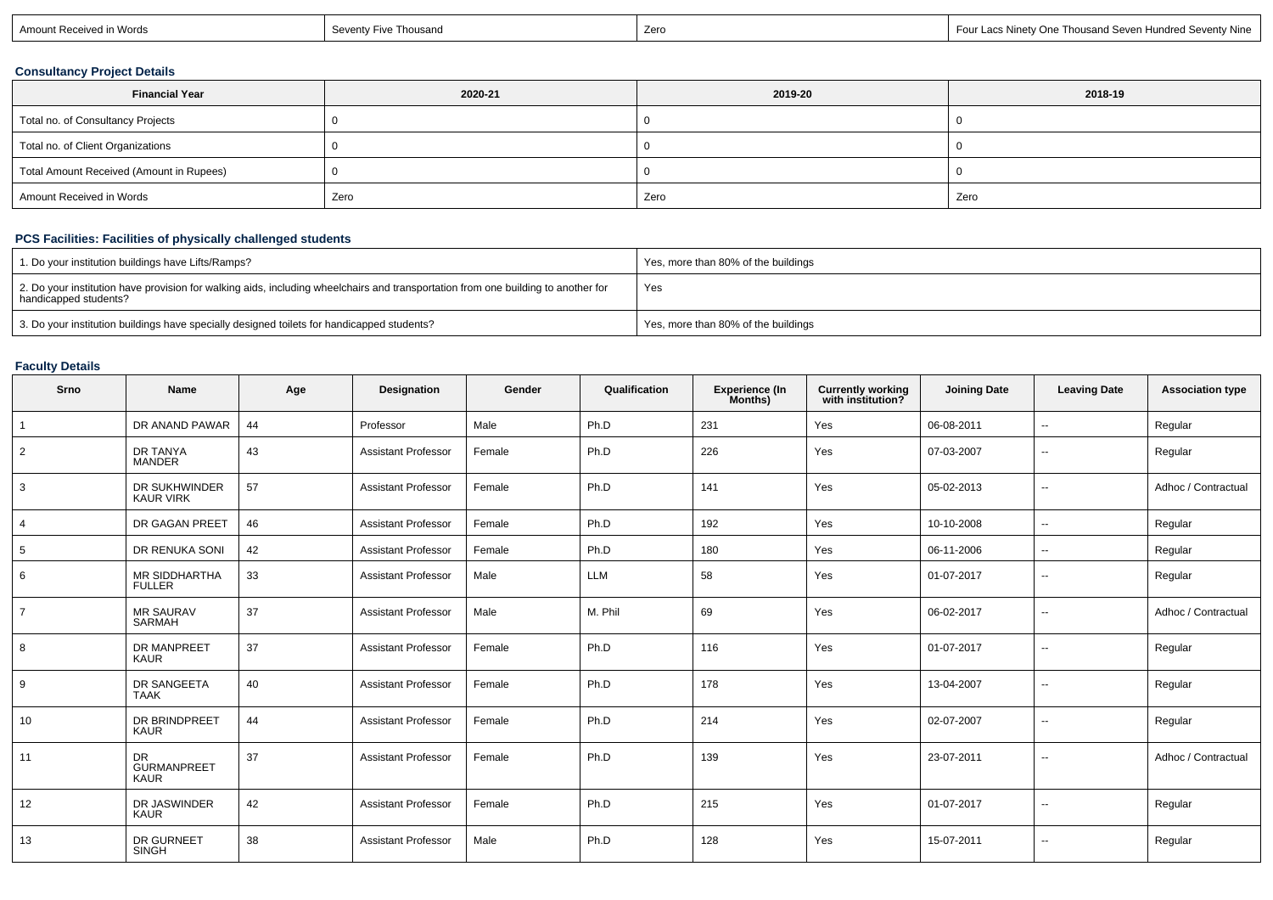| า Words<br>Amount Receivec | Seventy<br>Thousan <sub>G</sub><br>Five ⊺ | Zerc | ⊟ Four Lacs Ninet∨ One Thousand Seven Hundred Sevent∨ Nine |
|----------------------------|-------------------------------------------|------|------------------------------------------------------------|
|----------------------------|-------------------------------------------|------|------------------------------------------------------------|

## **Consultancy Project Details**

| <b>Financial Year</b>                    | 2020-21 | 2019-20 | 2018-19 |  |
|------------------------------------------|---------|---------|---------|--|
| Total no. of Consultancy Projects        |         |         |         |  |
| Total no. of Client Organizations        |         |         |         |  |
| Total Amount Received (Amount in Rupees) |         |         |         |  |
| Amount Received in Words                 | Zero    | Zero    | Zero    |  |

# **PCS Facilities: Facilities of physically challenged students**

| 1. Do your institution buildings have Lifts/Ramps?                                                                                                         | Yes, more than 80% of the buildings |
|------------------------------------------------------------------------------------------------------------------------------------------------------------|-------------------------------------|
| 2. Do your institution have provision for walking aids, including wheelchairs and transportation from one building to another for<br>handicapped students? | Yes                                 |
| 3. Do your institution buildings have specially designed toilets for handicapped students?                                                                 | Yes, more than 80% of the buildings |

## **Faculty Details**

| Srno            | Name                                     | Age | Designation                | Gender | Qualification | Experience (In<br>Months) | <b>Currently working</b><br>with institution? | <b>Joining Date</b> | <b>Leaving Date</b>      | <b>Association type</b> |
|-----------------|------------------------------------------|-----|----------------------------|--------|---------------|---------------------------|-----------------------------------------------|---------------------|--------------------------|-------------------------|
|                 | DR ANAND PAWAR                           | 44  | Professor                  | Male   | Ph.D          | 231                       | Yes                                           | 06-08-2011          | $\sim$                   | Regular                 |
| $\overline{2}$  | DR TANYA<br><b>MANDER</b>                | 43  | <b>Assistant Professor</b> | Female | Ph.D          | 226                       | Yes                                           | 07-03-2007          | $\overline{\phantom{a}}$ | Regular                 |
| 3               | DR SUKHWINDER<br><b>KAUR VIRK</b>        | 57  | <b>Assistant Professor</b> | Female | Ph.D          | 141                       | Yes                                           | 05-02-2013          | $\overline{\phantom{a}}$ | Adhoc / Contractual     |
| $\overline{4}$  | DR GAGAN PREET                           | 46  | <b>Assistant Professor</b> | Female | Ph.D          | 192                       | Yes                                           | 10-10-2008          | $\overline{\phantom{a}}$ | Regular                 |
| $5\overline{)}$ | DR RENUKA SONI                           | 42  | <b>Assistant Professor</b> | Female | Ph.D          | 180                       | Yes                                           | 06-11-2006          | $\overline{\phantom{a}}$ | Regular                 |
| 6               | MR SIDDHARTHA<br><b>FULLER</b>           | 33  | <b>Assistant Professor</b> | Male   | LLM           | 58                        | Yes                                           | 01-07-2017          | --                       | Regular                 |
| $\overline{7}$  | <b>MR SAURAV</b><br>SARMAH               | 37  | <b>Assistant Professor</b> | Male   | M. Phil       | 69                        | Yes                                           | 06-02-2017          | $\sim$                   | Adhoc / Contractual     |
| 8               | DR MANPREET<br><b>KAUR</b>               | 37  | <b>Assistant Professor</b> | Female | Ph.D          | 116                       | Yes                                           | 01-07-2017          | $\sim$                   | Regular                 |
| 9               | DR SANGEETA<br><b>TAAK</b>               | 40  | <b>Assistant Professor</b> | Female | Ph.D          | 178                       | Yes                                           | 13-04-2007          | $\sim$                   | Regular                 |
| 10              | DR BRINDPREET<br><b>KAUR</b>             | 44  | <b>Assistant Professor</b> | Female | Ph.D          | 214                       | Yes                                           | 02-07-2007          | $\overline{\phantom{a}}$ | Regular                 |
| 11              | DR.<br><b>GURMANPREET</b><br><b>KAUR</b> | 37  | <b>Assistant Professor</b> | Female | Ph.D          | 139                       | Yes                                           | 23-07-2011          | $\overline{\phantom{a}}$ | Adhoc / Contractual     |
| 12              | DR JASWINDER<br><b>KAUR</b>              | 42  | <b>Assistant Professor</b> | Female | Ph.D          | 215                       | Yes                                           | 01-07-2017          | $\overline{\phantom{a}}$ | Regular                 |
| 13              | DR GURNEET<br><b>SINGH</b>               | 38  | <b>Assistant Professor</b> | Male   | Ph.D          | 128                       | Yes                                           | 15-07-2011          | $\overline{\phantom{a}}$ | Regular                 |